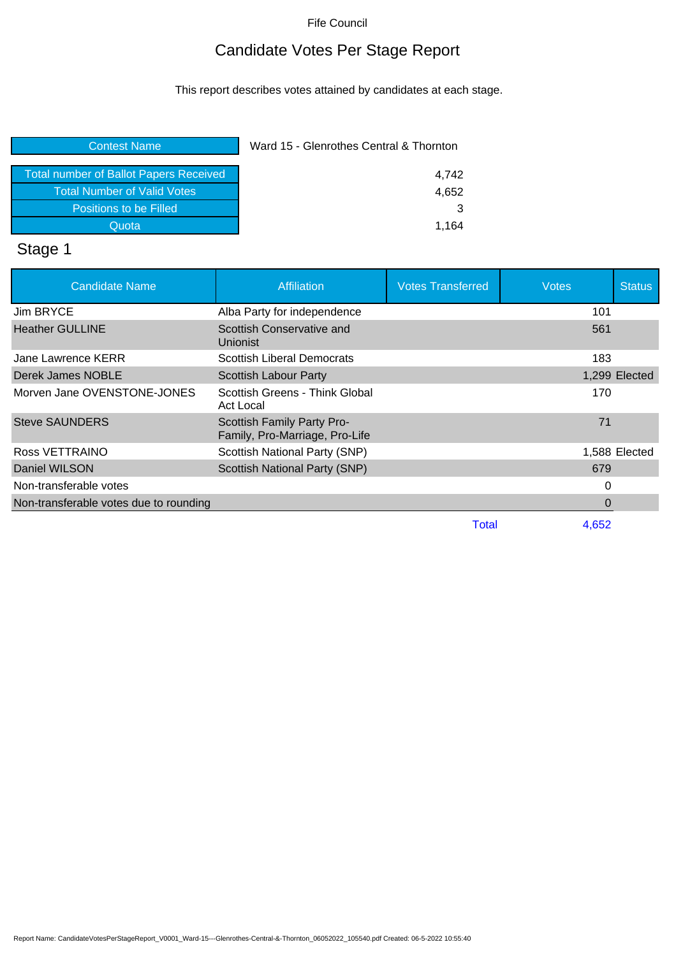# Candidate Votes Per Stage Report

This report describes votes attained by candidates at each stage.

| <b>Contest Name</b>                           | Ward 15 - Glenrothes Central & Thornton |  |
|-----------------------------------------------|-----------------------------------------|--|
| <b>Total number of Ballot Papers Received</b> | 4.742                                   |  |
| <b>Total Number of Valid Votes</b>            | 4,652                                   |  |
| Positions to be Filled                        | 3                                       |  |
| Quota                                         | 1.164                                   |  |

### Stage 1

| <b>Candidate Name</b>                  | <b>Affiliation</b>                                           | <b>Votes Transferred</b> | <b>Votes</b> | <b>Status</b> |
|----------------------------------------|--------------------------------------------------------------|--------------------------|--------------|---------------|
| Jim BRYCE                              | Alba Party for independence                                  |                          | 101          |               |
| <b>Heather GULLINE</b>                 | Scottish Conservative and<br>Unionist                        |                          | 561          |               |
| Jane Lawrence KERR                     | Scottish Liberal Democrats                                   |                          | 183          |               |
| Derek James NOBLE                      | Scottish Labour Party                                        |                          |              | 1,299 Elected |
| Morven Jane OVENSTONE-JONES            | Scottish Greens - Think Global<br><b>Act Local</b>           |                          | 170          |               |
| <b>Steve SAUNDERS</b>                  | Scottish Family Party Pro-<br>Family, Pro-Marriage, Pro-Life |                          | 71           |               |
| Ross VETTRAINO                         | <b>Scottish National Party (SNP)</b>                         |                          |              | 1,588 Elected |
| Daniel WILSON                          | <b>Scottish National Party (SNP)</b>                         |                          | 679          |               |
| Non-transferable votes                 |                                                              |                          | 0            |               |
| Non-transferable votes due to rounding |                                                              |                          | 0            |               |
|                                        |                                                              | Total                    | 4.652        |               |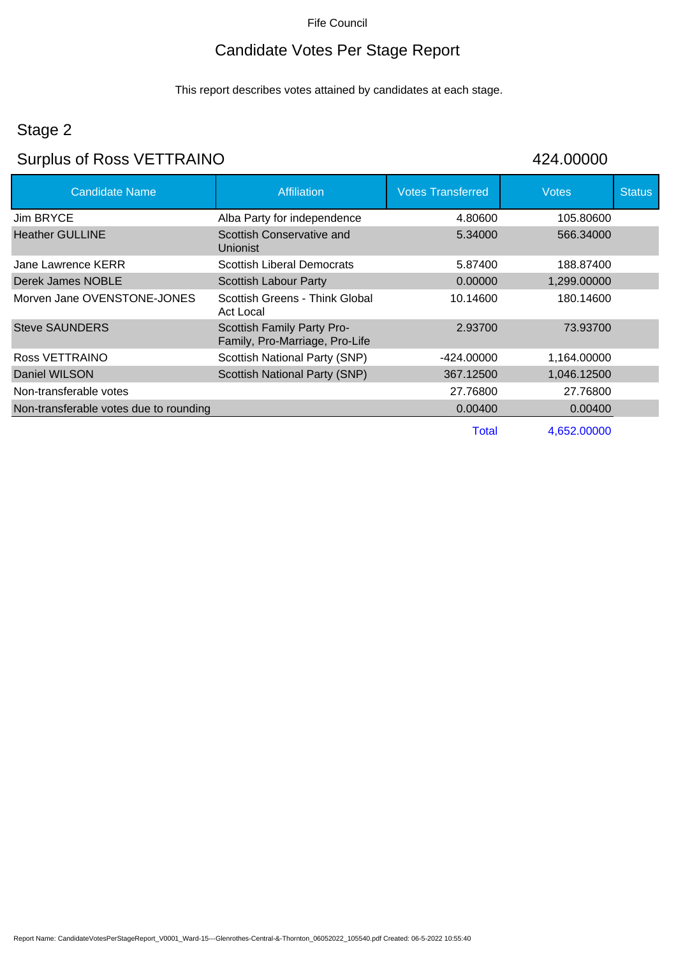# Candidate Votes Per Stage Report

This report describes votes attained by candidates at each stage.

# Stage 2

# Surplus of Ross VETTRAINO 424.00000

| <b>Candidate Name</b>                  | <b>Affiliation</b>                                           | <b>Votes Transferred</b> | <b>Votes</b> | <b>Status</b> |
|----------------------------------------|--------------------------------------------------------------|--------------------------|--------------|---------------|
| Jim BRYCE                              | Alba Party for independence                                  | 4.80600                  | 105.80600    |               |
| <b>Heather GULLINE</b>                 | Scottish Conservative and<br><b>Unionist</b>                 | 5.34000                  | 566.34000    |               |
| Jane Lawrence KERR                     | <b>Scottish Liberal Democrats</b>                            | 5.87400                  | 188.87400    |               |
| Derek James NOBLE                      | <b>Scottish Labour Party</b>                                 | 0.00000                  | 1,299.00000  |               |
| Morven Jane OVENSTONE-JONES            | Scottish Greens - Think Global<br>Act Local                  | 10.14600                 | 180.14600    |               |
| <b>Steve SAUNDERS</b>                  | Scottish Family Party Pro-<br>Family, Pro-Marriage, Pro-Life | 2.93700                  | 73.93700     |               |
| Ross VETTRAINO                         | Scottish National Party (SNP)                                | -424.00000               | 1,164.00000  |               |
| Daniel WILSON                          | Scottish National Party (SNP)                                | 367.12500                | 1,046.12500  |               |
| Non-transferable votes                 |                                                              | 27.76800                 | 27.76800     |               |
| Non-transferable votes due to rounding |                                                              | 0.00400                  | 0.00400      |               |
|                                        |                                                              | Total                    | 4,652.00000  |               |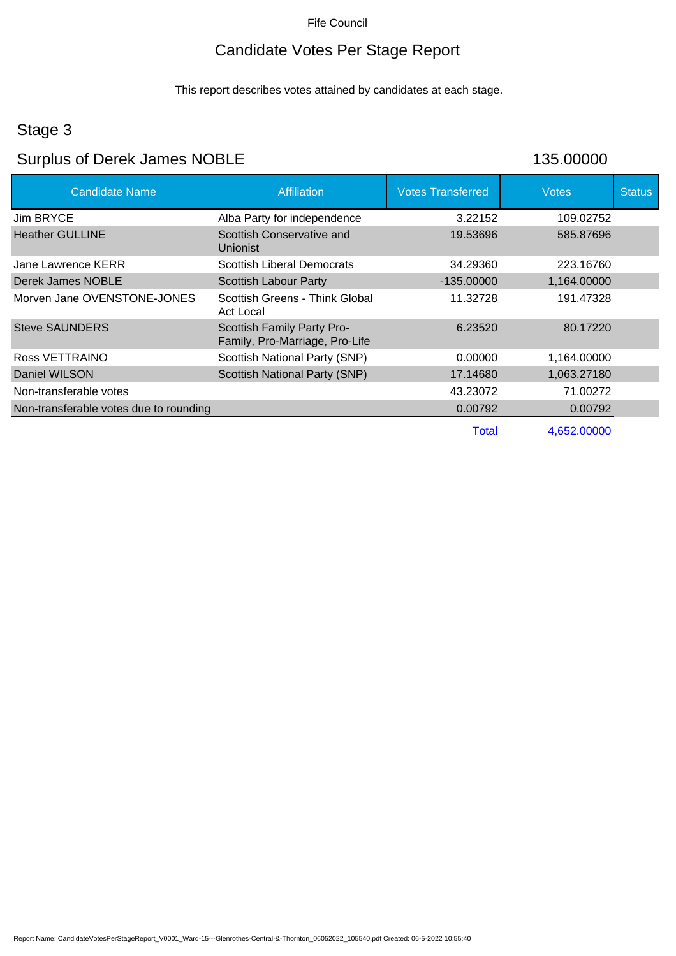# Candidate Votes Per Stage Report

This report describes votes attained by candidates at each stage.

### Stage 3

# Surplus of Derek James NOBLE 135.00000

| <b>Candidate Name</b>                  | <b>Affiliation</b>                                           | <b>Votes Transferred</b> | <b>Votes</b> | <b>Status</b> |
|----------------------------------------|--------------------------------------------------------------|--------------------------|--------------|---------------|
| <b>Jim BRYCE</b>                       | Alba Party for independence                                  | 3.22152                  | 109.02752    |               |
| <b>Heather GULLINE</b>                 | Scottish Conservative and<br><b>Unionist</b>                 | 19.53696                 | 585.87696    |               |
| Jane Lawrence KERR                     | <b>Scottish Liberal Democrats</b>                            | 34.29360                 | 223.16760    |               |
| Derek James NOBLE                      | <b>Scottish Labour Party</b>                                 | $-135.00000$             | 1,164.00000  |               |
| Morven Jane OVENSTONE-JONES            | Scottish Greens - Think Global<br>Act Local                  | 11.32728                 | 191.47328    |               |
| <b>Steve SAUNDERS</b>                  | Scottish Family Party Pro-<br>Family, Pro-Marriage, Pro-Life | 6.23520                  | 80.17220     |               |
| Ross VETTRAINO                         | <b>Scottish National Party (SNP)</b>                         | 0.00000                  | 1,164.00000  |               |
| Daniel WILSON                          | Scottish National Party (SNP)                                | 17.14680                 | 1,063.27180  |               |
| Non-transferable votes                 |                                                              | 43.23072                 | 71.00272     |               |
| Non-transferable votes due to rounding |                                                              | 0.00792                  | 0.00792      |               |
|                                        |                                                              | Total                    | 4,652.00000  |               |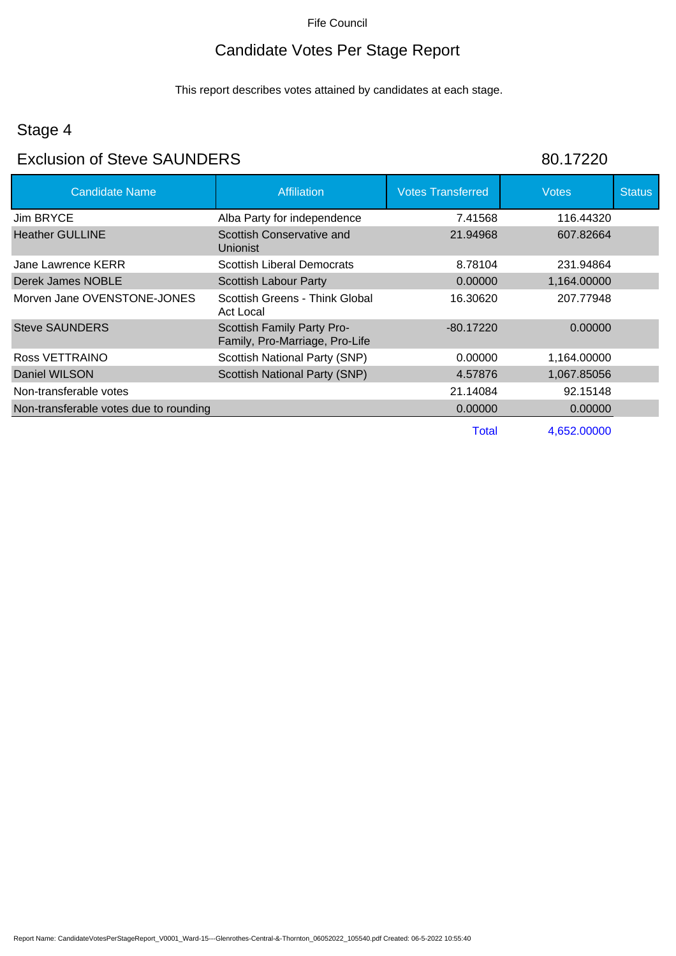# Candidate Votes Per Stage Report

This report describes votes attained by candidates at each stage.

# Stage 4

#### Exclusion of Steve SAUNDERS 80.17220

| <b>Candidate Name</b>                  | Affiliation                                                  | <b>Votes Transferred</b> | <b>Votes</b> | <b>Status</b> |
|----------------------------------------|--------------------------------------------------------------|--------------------------|--------------|---------------|
| <b>Jim BRYCE</b>                       | Alba Party for independence                                  | 7.41568                  | 116.44320    |               |
| <b>Heather GULLINE</b>                 | Scottish Conservative and<br>Unionist                        | 21.94968                 | 607.82664    |               |
| Jane Lawrence KERR                     | Scottish Liberal Democrats                                   | 8.78104                  | 231.94864    |               |
| Derek James NOBLE                      | Scottish Labour Party                                        | 0.00000                  | 1,164.00000  |               |
| Morven Jane OVENSTONE-JONES            | Scottish Greens - Think Global<br>Act Local                  | 16.30620                 | 207.77948    |               |
| <b>Steve SAUNDERS</b>                  | Scottish Family Party Pro-<br>Family, Pro-Marriage, Pro-Life | $-80.17220$              | 0.00000      |               |
| Ross VETTRAINO                         | <b>Scottish National Party (SNP)</b>                         | 0.00000                  | 1,164.00000  |               |
| Daniel WILSON                          | Scottish National Party (SNP)                                | 4.57876                  | 1,067.85056  |               |
| Non-transferable votes                 |                                                              | 21.14084                 | 92.15148     |               |
| Non-transferable votes due to rounding |                                                              | 0.00000                  | 0.00000      |               |
|                                        |                                                              | Total                    | 4.652.00000  |               |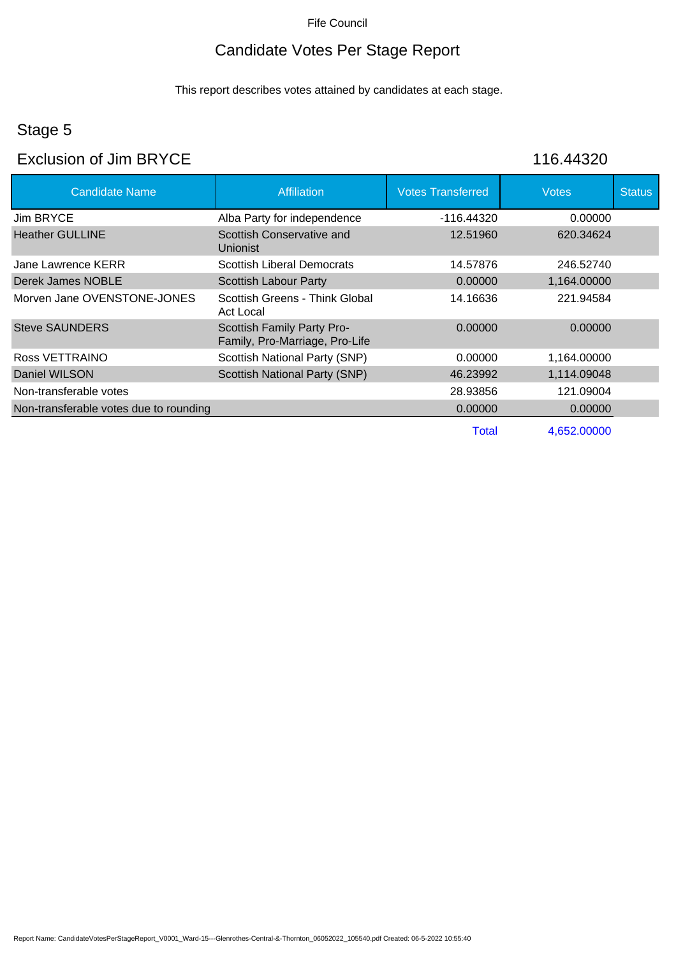# Candidate Votes Per Stage Report

This report describes votes attained by candidates at each stage.

# Stage 5

#### Exclusion of Jim BRYCE 116.44320

| <b>Candidate Name</b>                  | <b>Affiliation</b>                                           | <b>Votes Transferred</b> | <b>Votes</b> | <b>Status</b> |
|----------------------------------------|--------------------------------------------------------------|--------------------------|--------------|---------------|
| Jim BRYCE                              | Alba Party for independence                                  | -116.44320               | 0.00000      |               |
| <b>Heather GULLINE</b>                 | Scottish Conservative and<br>Unionist                        | 12.51960                 | 620.34624    |               |
| Jane Lawrence KERR                     | <b>Scottish Liberal Democrats</b>                            | 14.57876                 | 246.52740    |               |
| Derek James NOBLE                      | <b>Scottish Labour Party</b>                                 | 0.00000                  | 1,164.00000  |               |
| Morven Jane OVENSTONE-JONES            | Scottish Greens - Think Global<br>Act Local                  | 14.16636                 | 221.94584    |               |
| <b>Steve SAUNDERS</b>                  | Scottish Family Party Pro-<br>Family, Pro-Marriage, Pro-Life | 0.00000                  | 0.00000      |               |
| Ross VETTRAINO                         | Scottish National Party (SNP)                                | 0.00000                  | 1,164.00000  |               |
| Daniel WILSON                          | <b>Scottish National Party (SNP)</b>                         | 46.23992                 | 1,114.09048  |               |
| Non-transferable votes                 |                                                              | 28.93856                 | 121.09004    |               |
| Non-transferable votes due to rounding |                                                              | 0.00000                  | 0.00000      |               |
|                                        |                                                              | Total                    | 4,652.00000  |               |